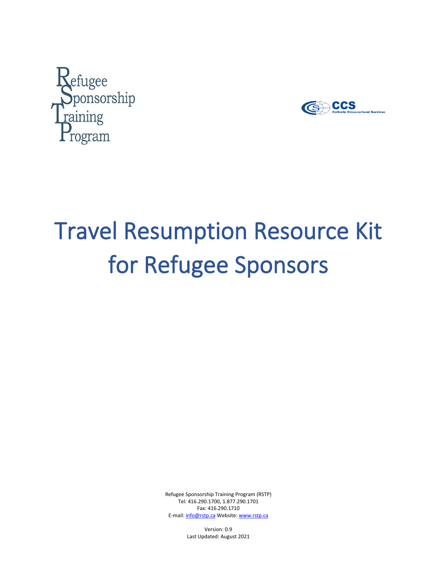



# Travel Resumption Resource Kit for Refugee Sponsors

Refugee Sponsorship Training Program (RSTP) Tel: 416.290.1700, 1.877.290.1701 Fax: 416.290.1710 E-mail[: info@rstp.ca](file:///C:/Users/JoAnna.Brunnenmeir/AppData/Roaming/OpenText/OTEdit/EC_gcdocs2/c250158295/info@rstp.ca) Website: [www.rstp.ca](http://www.rstp.ca/)

> Version: 0.9 Last Updated: August 2021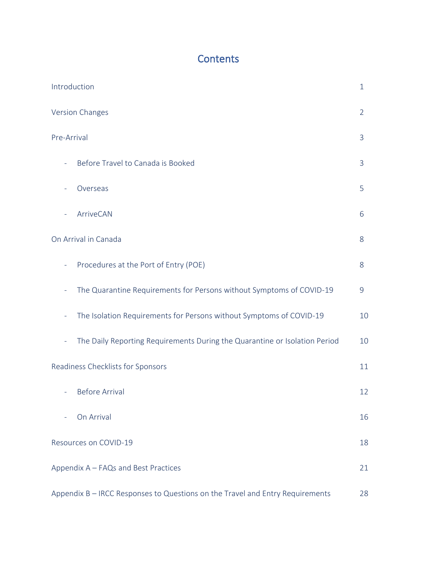# **Contents**

| Introduction                                                                                    | $\mathbf{1}$ |  |  |  |
|-------------------------------------------------------------------------------------------------|--------------|--|--|--|
| <b>Version Changes</b>                                                                          | 2            |  |  |  |
| Pre-Arrival                                                                                     | 3            |  |  |  |
| Before Travel to Canada is Booked<br>$\overline{\phantom{a}}$                                   | 3            |  |  |  |
| Overseas                                                                                        | 5            |  |  |  |
| ArriveCAN                                                                                       | 6            |  |  |  |
| On Arrival in Canada                                                                            | 8            |  |  |  |
| Procedures at the Port of Entry (POE)<br>$\equiv$                                               | 8            |  |  |  |
| The Quarantine Requirements for Persons without Symptoms of COVID-19<br>÷                       | 9            |  |  |  |
| The Isolation Requirements for Persons without Symptoms of COVID-19<br>÷                        | 10           |  |  |  |
| The Daily Reporting Requirements During the Quarantine or Isolation Period<br>$\qquad \qquad -$ | 10           |  |  |  |
| Readiness Checklists for Sponsors                                                               |              |  |  |  |
| <b>Before Arrival</b>                                                                           | 12           |  |  |  |
| On Arrival                                                                                      | 16           |  |  |  |
| Resources on COVID-19                                                                           | 18           |  |  |  |
| Appendix A - FAQs and Best Practices                                                            |              |  |  |  |
| Appendix B - IRCC Responses to Questions on the Travel and Entry Requirements                   |              |  |  |  |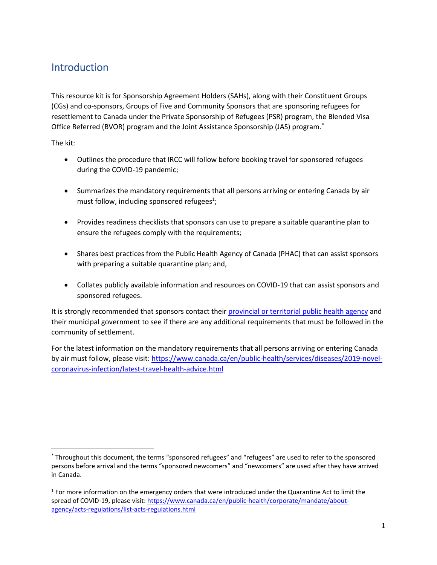## **Introduction**

This resource kit is for Sponsorship Agreement Holders (SAHs), along with their Constituent Groups (CGs) and co-sponsors, Groups of Five and Community Sponsors that are sponsoring refugees for resettlement to Canada under the Private Sponsorship of Refugees (PSR) program, the Blended Visa Office Referred (BVOR) program and the Joint Assistance Sponsorship (JAS) program. \*

The kit:

- Outlines the procedure that IRCC will follow before booking travel for sponsored refugees during the COVID-19 pandemic;
- Summarizes the mandatory requirements that all persons arriving or entering Canada by air must follow, including sponsored refugees<sup>1</sup>;
- Provides readiness checklists that sponsors can use to prepare a suitable quarantine plan to ensure the refugees comply with the requirements;
- Shares best practices from the Public Health Agency of Canada (PHAC) that can assist sponsors with preparing a suitable quarantine plan; and,
- Collates publicly available information and resources on COVID-19 that can assist sponsors and sponsored refugees.

It is strongly recommended that sponsors contact their provincial or territorial [public health agency](https://www.canada.ca/en/public-health/services/diseases/2019-novel-coronavirus-infection/symptoms/provincial-territorial-resources-covid-19.html) and their municipal government to see if there are any additional requirements that must be followed in the community of settlement.

For the latest information on the mandatory requirements that all persons arriving or entering Canada by air must follow, please visit: [https://www.canada.ca/en/public-health/services/diseases/2019-novel](https://www.canada.ca/en/public-health/services/diseases/2019-novel-coronavirus-infection/latest-travel-health-advice.html)[coronavirus-infection/latest-travel-health-advice.html](https://www.canada.ca/en/public-health/services/diseases/2019-novel-coronavirus-infection/latest-travel-health-advice.html)

<sup>\*</sup> Throughout this document, the terms "sponsored refugees" and "refugees" are used to refer to the sponsored persons before arrival and the terms "sponsored newcomers" and "newcomers" are used after they have arrived in Canada.

<sup>&</sup>lt;sup>1</sup> For more information on the emergency orders that were introduced under the Quarantine Act to limit the spread of COVID-19, please visit[: https://www.canada.ca/en/public-health/corporate/mandate/about](https://www.canada.ca/en/public-health/corporate/mandate/about-agency/acts-regulations/list-acts-regulations.html)[agency/acts-regulations/list-acts-regulations.html](https://www.canada.ca/en/public-health/corporate/mandate/about-agency/acts-regulations/list-acts-regulations.html)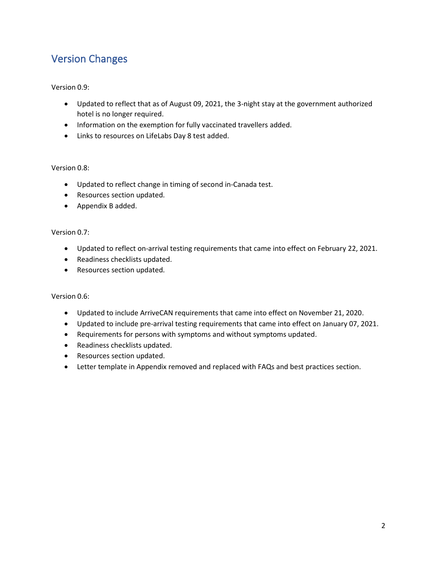# Version Changes

#### Version 0.9:

- Updated to reflect that as of August 09, 2021, the 3-night stay at the government authorized hotel is no longer required.
- Information on the exemption for fully vaccinated travellers added.
- Links to resources on LifeLabs Day 8 test added.

#### Version 0.8:

- Updated to reflect change in timing of second in-Canada test.
- Resources section updated.
- Appendix B added.

#### Version 0.7:

- Updated to reflect on-arrival testing requirements that came into effect on February 22, 2021.
- Readiness checklists updated.
- Resources section updated.

#### Version 0.6:

- Updated to include ArriveCAN requirements that came into effect on November 21, 2020.
- Updated to include pre-arrival testing requirements that came into effect on January 07, 2021.
- Requirements for persons with symptoms and without symptoms updated.
- Readiness checklists updated.
- Resources section updated.
- Letter template in Appendix removed and replaced with FAQs and best practices section.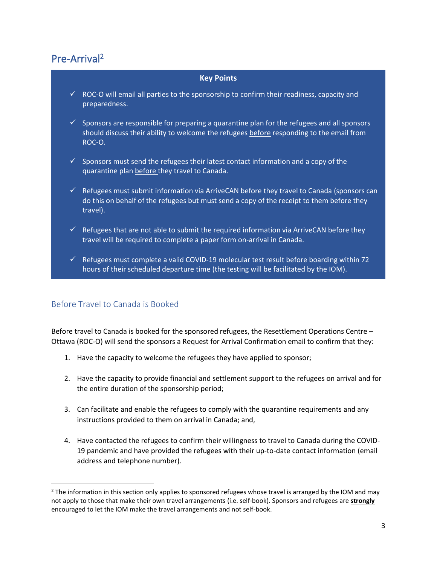# Pre-Arrival<sup>2</sup>

#### **Key Points**

- $\checkmark$  ROC-O will email all parties to the sponsorship to confirm their readiness, capacity and preparedness.
- $\checkmark$  Sponsors are responsible for preparing a quarantine plan for the refugees and all sponsors should discuss their ability to welcome the refugees before responding to the email from ROC-O.
- $\checkmark$  Sponsors must send the refugees their latest contact information and a copy of the quarantine plan before they travel to Canada.
- $\checkmark$  Refugees must submit information via ArriveCAN before they travel to Canada (sponsors can do this on behalf of the refugees but must send a copy of the receipt to them before they travel).
- $\checkmark$  Refugees that are not able to submit the required information via ArriveCAN before they travel will be required to complete a paper form on-arrival in Canada.
- $\checkmark$  Refugees must complete a valid COVID-19 molecular test result before boarding within 72 hours of their scheduled departure time (the testing will be facilitated by the IOM).

#### Before Travel to Canada is Booked

Before travel to Canada is booked for the sponsored refugees, the Resettlement Operations Centre – Ottawa (ROC-O) will send the sponsors a Request for Arrival Confirmation email to confirm that they:

- 1. Have the capacity to welcome the refugees they have applied to sponsor;
- 2. Have the capacity to provide financial and settlement support to the refugees on arrival and for the entire duration of the sponsorship period;
- 3. Can facilitate and enable the refugees to comply with the quarantine requirements and any instructions provided to them on arrival in Canada; and,
- 4. Have contacted the refugees to confirm their willingness to travel to Canada during the COVID-19 pandemic and have provided the refugees with their up-to-date contact information (email address and telephone number).

 $2$  The information in this section only applies to sponsored refugees whose travel is arranged by the IOM and may not apply to those that make their own travel arrangements (i.e. self-book). Sponsors and refugees are **strongly** encouraged to let the IOM make the travel arrangements and not self-book.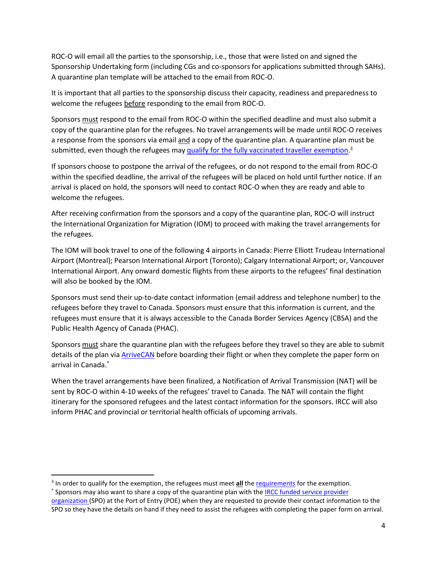ROC-O will email all the parties to the sponsorship, i.e., those that were listed on and signed the Sponsorship Undertaking form (including CGs and co-sponsors for applications submitted through SAHs). A quarantine plan template will be attached to the email from ROC-O.

It is important that all parties to the sponsorship discuss their capacity, readiness and preparedness to welcome the refugees before responding to the email from ROC-O.

Sponsors must respond to the email from ROC-O within the specified deadline and must also submit a copy of the quarantine plan for the refugees. No travel arrangements will be made until ROC-O receives a response from the sponsors via email and a copy of the quarantine plan. A quarantine plan must be submitted, even though the refugees may [qualify for the fully vaccinated traveller](https://travel.gc.ca/travel-covid/travel-restrictions/covid-vaccinated-travellers-entering-canada) exemption.<sup>3</sup>

If sponsors choose to postpone the arrival of the refugees, or do not respond to the email from ROC-O within the specified deadline, the arrival of the refugees will be placed on hold until further notice. If an arrival is placed on hold, the sponsors will need to contact ROC-O when they are ready and able to welcome the refugees.

After receiving confirmation from the sponsors and a copy of the quarantine plan, ROC-O will instruct the International Organization for Migration (IOM) to proceed with making the travel arrangements for the refugees.

The IOM will book travel to one of the following 4 airports in Canada: Pierre Elliott Trudeau International Airport (Montreal); Pearson International Airport (Toronto); Calgary International Airport; or, Vancouver International Airport. Any onward domestic flights from these airports to the refugees' final destination will also be booked by the IOM.

Sponsors must send their up-to-date contact information (email address and telephone number) to the refugees before they travel to Canada. Sponsors must ensure that this information is current, and the refugees must ensure that it is always accessible to the Canada Border Services Agency (CBSA) and the Public Health Agency of Canada (PHAC).

Sponsors must share the quarantine plan with the refugees before they travel so they are able to submit details of the plan via [ArriveCAN](https://www.canada.ca/en/public-health/services/diseases/coronavirus-disease-covid-19/arrivecan.html) before boarding their flight or when they complete the paper form on arrival in Canada. \*

When the travel arrangements have been finalized, a Notification of Arrival Transmission (NAT) will be sent by ROC-O within 4-10 weeks of the refugees' travel to Canada. The NAT will contain the flight itinerary for the sponsored refugees and the latest contact information for the sponsors. IRCC will also inform PHAC and provincial or territorial health officials of upcoming arrivals.

<sup>&</sup>lt;sup>3</sup> In order to qualify for the exemption, the refugees must meet **all** the [requirements](https://travel.gc.ca/travel-covid/travel-restrictions/covid-vaccinated-travellers-entering-canada) for the exemption.

<sup>\*</sup> Sponsors may also want to share a copy of the quarantine plan with the <u>IRCC funded service provider</u> [organization \(](https://www.cic.gc.ca/english/helpcentre/answer.asp?qnum=1501&top=11)SPO) at the Port of Entry (POE) when they are requested to provide their contact information to the SPO so they have the details on hand if they need to assist the refugees with completing the paper form on arrival.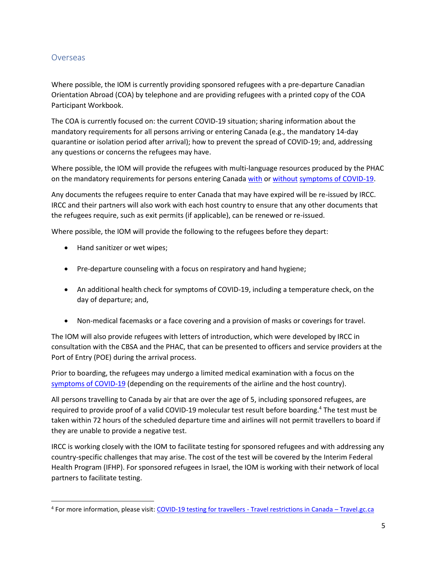#### **Overseas**

Where possible, the IOM is currently providing sponsored refugees with a pre-departure Canadian Orientation Abroad (COA) by telephone and are providing refugees with a printed copy of the COA Participant Workbook.

The COA is currently focused on: the current COVID-19 situation; sharing information about the mandatory requirements for all persons arriving or entering Canada (e.g., the mandatory 14-day quarantine or isolation period after arrival); how to prevent the spread of COVID-19; and, addressing any questions or concerns the refugees may have.

Where possible, the IOM will provide the refugees with multi-language resources produced by the PHAC on the mandatory requirements for persons entering Canad[a with](https://www.canada.ca/en/public-health/services/publications/diseases-conditions/2019-novel-coronavirus-information-sheet.html) or [without](https://www.canada.ca/en/public-health/services/publications/diseases-conditions/2019-novel-coronavirus-information-sheet.html) [symptoms of COVID-19.](https://www.canada.ca/en/public-health/services/diseases/2019-novel-coronavirus-infection/symptoms.html#s)

Any documents the refugees require to enter Canada that may have expired will be re-issued by IRCC. IRCC and their partners will also work with each host country to ensure that any other documents that the refugees require, such as exit permits (if applicable), can be renewed or re-issued.

Where possible, the IOM will provide the following to the refugees before they depart:

- Hand sanitizer or wet wipes;
- Pre-departure counseling with a focus on respiratory and hand hygiene;
- An additional health check for symptoms of COVID-19, including a temperature check, on the day of departure; and,
- Non-medical facemasks or a face covering and a provision of masks or coverings for travel.

The IOM will also provide refugees with letters of introduction, which were developed by IRCC in consultation with the CBSA and the PHAC, that can be presented to officers and service providers at the Port of Entry (POE) during the arrival process.

Prior to boarding, the refugees may undergo a limited medical examination with a focus on the [symptoms of COVID-19](https://www.canada.ca/en/public-health/services/diseases/2019-novel-coronavirus-infection/symptoms.html#s) (depending on the requirements of the airline and the host country).

All persons travelling to Canada by air that are over the age of 5, including sponsored refugees, are required to provide proof of a valid COVID-19 molecular test result before boarding.<sup>4</sup> The test must be taken within 72 hours of the scheduled departure time and airlines will not permit travellers to board if they are unable to provide a negative test.

IRCC is working closely with the IOM to facilitate testing for sponsored refugees and with addressing any country-specific challenges that may arise. The cost of the test will be covered by the Interim Federal Health Program (IFHP). For sponsored refugees in Israel, the IOM is working with their network of local partners to facilitate testing.

<sup>&</sup>lt;sup>4</sup> For more information, please visit: [COVID-19 testing for travellers -](https://travel.gc.ca/travel-covid/travel-restrictions/flying-canada-checklist/covid-19-testing-travellers-coming-into-canada) Travel restrictions in Canada – Travel.gc.ca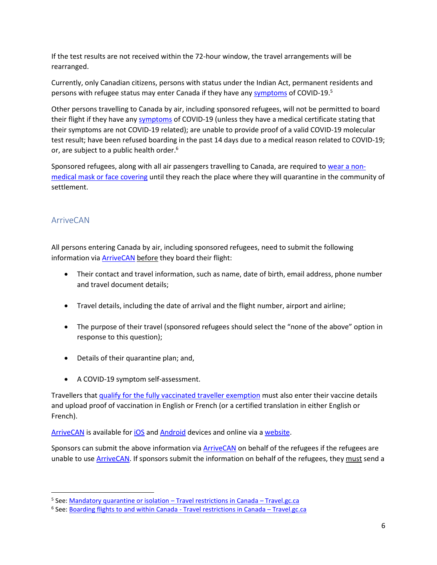If the test results are not received within the 72-hour window, the travel arrangements will be rearranged.

Currently, only Canadian citizens, persons with status under the Indian Act, permanent residents and persons with refugee status may enter Canada if they have any [symptoms](https://www.canada.ca/en/public-health/services/diseases/2019-novel-coronavirus-infection/symptoms.html#s) of COVID-19.<sup>5</sup>

Other persons travelling to Canada by air, including sponsored refugees, will not be permitted to board their flight if they have an[y symptoms](https://www.canada.ca/en/public-health/services/diseases/2019-novel-coronavirus-infection/symptoms.html#s) of COVID-19 (unless they have a medical certificate stating that their symptoms are not COVID-19 related); are unable to provide proof of a valid COVID-19 molecular test result; have been refused boarding in the past 14 days due to a medical reason related to COVID-19; or, are subject to a public health order.<sup>6</sup>

Sponsored refugees, along with all air passengers travelling to Canada, are required to [wear a non](https://www.canada.ca/en/public-health/services/diseases/2019-novel-coronavirus-infection/latest-travel-health-advice.html#a4)[medical mask or face](https://www.canada.ca/en/public-health/services/diseases/2019-novel-coronavirus-infection/latest-travel-health-advice.html#a4) covering until they reach the place where they will quarantine in the community of settlement.

## ArriveCAN

All persons entering Canada by air, including sponsored refugees, need to submit the following information via **ArriveCAN** before they board their flight:

- Their contact and travel information, such as name, date of birth, email address, phone number and travel document details;
- Travel details, including the date of arrival and the flight number, airport and airline;
- The purpose of their travel (sponsored refugees should select the "none of the above" option in response to this question);
- Details of their quarantine plan; and,
- A COVID-19 symptom self-assessment.

Travellers that [qualify for the fully vaccinated traveller exemption](https://travel.gc.ca/travel-covid/travel-restrictions/covid-vaccinated-travellers-entering-canada#determine-fully) must also enter their vaccine details and upload proof of vaccination in English or French (or a certified translation in either English or French).

[ArriveCAN](https://www.canada.ca/en/public-health/services/diseases/coronavirus-disease-covid-19/arrivecan.html) is available fo[r iOS](https://apps.apple.com/ca/app/arrivecan/id1505394667) and [Android](https://play.google.com/store/apps/details?id=ca.gc.cbsa.coronavirus) devices and online via a [website.](https://arrivecan.cbsa-asfc.cloud-nuage.canada.ca/welcome)

Sponsors can submit the above information vi[a ArriveCAN](https://www.canada.ca/en/public-health/services/diseases/coronavirus-disease-covid-19/arrivecan.html) on behalf of the refugees if the refugees are unable to use **ArriveCAN**. If sponsors submit the information on behalf of the refugees, they must send a

<sup>&</sup>lt;sup>5</sup> See: <u>Mandatory quarantine or isolation – Travel restrictions in Canada – Travel.gc.ca</u>

<sup>&</sup>lt;sup>6</sup> See: <u>Boarding flights to and within Canada - Travel restrictions in Canada – Travel.gc.ca</u>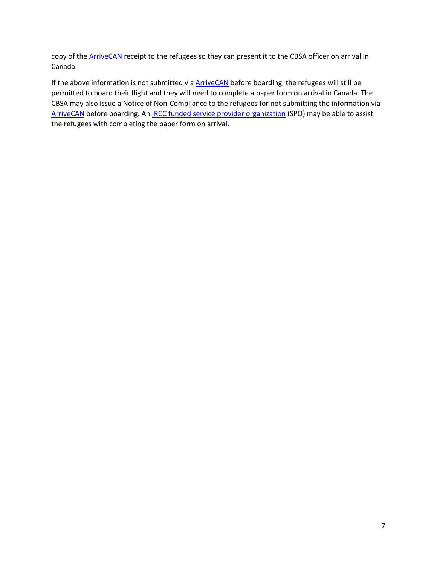copy of the **ArriveCAN** receipt to the refugees so they can present it to the CBSA officer on arrival in Canada.

If the above information is not submitted via **ArriveCAN** before boarding, the refugees will still be permitted to board their flight and they will need to complete a paper form on arrival in Canada. The CBSA may also issue a Notice of Non-Compliance to the refugees for not submitting the information via [ArriveCAN](https://www.canada.ca/en/public-health/services/diseases/coronavirus-disease-covid-19/arrivecan.html) before boarding. An **[IRCC funded service provider organization](https://www.cic.gc.ca/english/helpcentre/answer.asp?qnum=1501&top=11)** (SPO) may be able to assist the refugees with completing the paper form on arrival.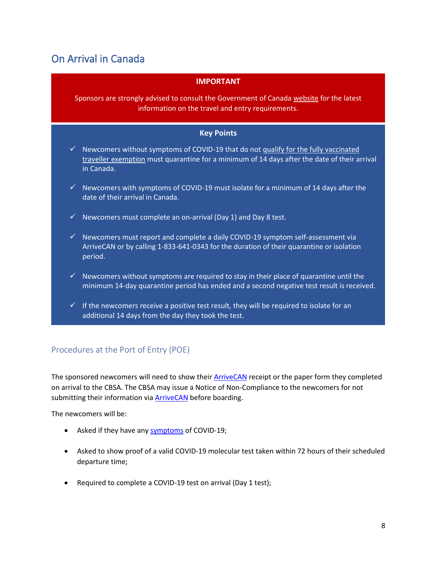# On Arrival in Canada

| <b>IMPORTANT</b> |  |  |
|------------------|--|--|
|                  |  |  |
|                  |  |  |

Sponsors are strongly advised to consult the Government of Canada [website](https://www.canada.ca/en/public-health/services/diseases/2019-novel-coronavirus-infection/latest-travel-health-advice.html) for the latest information on the travel and entry requirements.

#### **Key Points**

- $\checkmark$  Newcomers without symptoms of COVID-19 that do not qualify for the fully vaccinated [traveller exemption](https://travel.gc.ca/travel-covid/travel-restrictions/covid-vaccinated-travellers-entering-canada#determine-fully) must quarantine for a minimum of 14 days after the date of their arrival in Canada.
- $\checkmark$  Newcomers with symptoms of COVID-19 must isolate for a minimum of 14 days after the date of their arrival in Canada.
- $\checkmark$  Newcomers must complete an on-arrival (Day 1) and Day 8 test.
- $\checkmark$  Newcomers must report and complete a daily COVID-19 symptom self-assessment via ArriveCAN or by calling 1-833-641-0343 for the duration of their quarantine or isolation period.
- $\checkmark$  Newcomers without symptoms are required to stay in their place of quarantine until the minimum 14-day quarantine period has ended and a second negative test result is received.
- $\checkmark$  If the newcomers receive a positive test result, they will be required to isolate for an additional 14 days from the day they took the test.

#### Procedures at the Port of Entry (POE)

The sponsored newcomers will need to show their **[ArriveCAN](https://www.canada.ca/en/public-health/services/diseases/coronavirus-disease-covid-19/arrivecan.html)** receipt or the paper form they completed on arrival to the CBSA. The CBSA may issue a Notice of Non-Compliance to the newcomers for not submitting their information via **ArriveCAN** before boarding.

The newcomers will be:

- Asked if they have an[y symptoms](https://www.canada.ca/en/public-health/services/diseases/2019-novel-coronavirus-infection/symptoms.html#s) of COVID-19;
- Asked to show proof of a valid COVID-19 molecular test taken within 72 hours of their scheduled departure time;
- Required to complete a COVID-19 test on arrival (Day 1 test);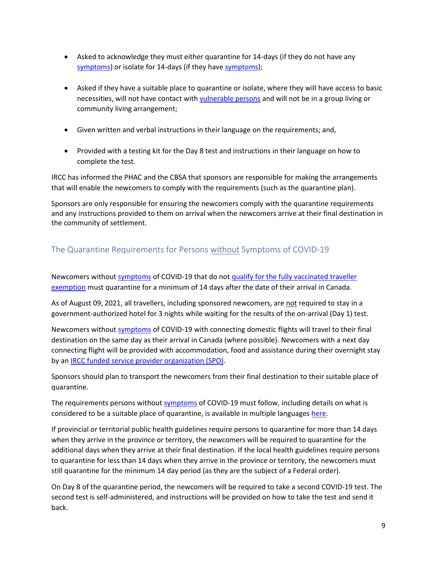- Asked to acknowledge they must either quarantine for 14-days (if they do not have any [symptoms\)](https://www.canada.ca/en/public-health/services/diseases/2019-novel-coronavirus-infection/symptoms.html#s) or isolate for 14-days (if they have [symptoms\)](https://www.canada.ca/en/public-health/services/diseases/2019-novel-coronavirus-infection/symptoms.html#s);
- Asked if they have a suitable place to quarantine or isolate, where they will have access to basic necessities, will not have contact with [vulnerable](https://www.canada.ca/en/public-health/services/publications/diseases-conditions/vulnerable-populations-covid-19.html) persons and will not be in a group living or community living arrangement;
- Given written and verbal instructions in their language on the requirements; and,
- Provided with a testing kit for the Day 8 test and instructions in their language on how to complete the test.

IRCC has informed the PHAC and the CBSA that sponsors are responsible for making the arrangements that will enable the newcomers to comply with the requirements (such as the quarantine plan).

Sponsors are only responsible for ensuring the newcomers comply with the quarantine requirements and any instructions provided to them on arrival when the newcomers arrive at their final destination in the community of settlement.

## The Quarantine Requirements for Persons without Symptoms of COVID-19

Newcomers without [symptoms](https://www.canada.ca/en/public-health/services/diseases/2019-novel-coronavirus-infection/symptoms.html#s) of COVID-19 that do not qualify for the fully vaccinated traveller [exemption](https://travel.gc.ca/travel-covid/travel-restrictions/covid-vaccinated-travellers-entering-canada#determine-fully) must quarantine for a minimum of 14 days after the date of their arrival in Canada.

As of August 09, 2021, all travellers, including sponsored newcomers, are not required to stay in a government-authorized hotel for 3 nights while waiting for the results of the on-arrival (Day 1) test.

Newcomers without [symptoms](https://www.canada.ca/en/public-health/services/diseases/2019-novel-coronavirus-infection/symptoms.html#s) of COVID-19 with connecting domestic flights will travel to their final destination on the same day as their arrival in Canada (where possible). Newcomers with a next day connecting flight will be provided with accommodation, food and assistance during their overnight stay by an [IRCC funded service provider organization \(SPO\).](https://www.cic.gc.ca/english/helpcentre/answer.asp?qnum=1501&top=11)

Sponsors should plan to transport the newcomers from their final destination to their suitable place of quarantine.

The requirements persons withou[t symptoms](https://www.canada.ca/en/public-health/services/diseases/2019-novel-coronavirus-infection/symptoms.html#s) of COVID-19 must follow, including details on what is considered to be a suitable place of quarantine, is available in multiple languages [here.](https://www.canada.ca/en/public-health/services/publications/diseases-conditions/2019-novel-coronavirus-information-sheet.html)

If provincial or territorial public health guidelines require persons to quarantine for more than 14 days when they arrive in the province or territory, the newcomers will be required to quarantine for the additional days when they arrive at their final destination. If the local health guidelines require persons to quarantine for less than 14 days when they arrive in the province or territory, the newcomers must still quarantine for the minimum 14 day period (as they are the subject of a Federal order).

On Day 8 of the quarantine period, the newcomers will be required to take a second COVID-19 test. The second test is self-administered, and instructions will be provided on how to take the test and send it back.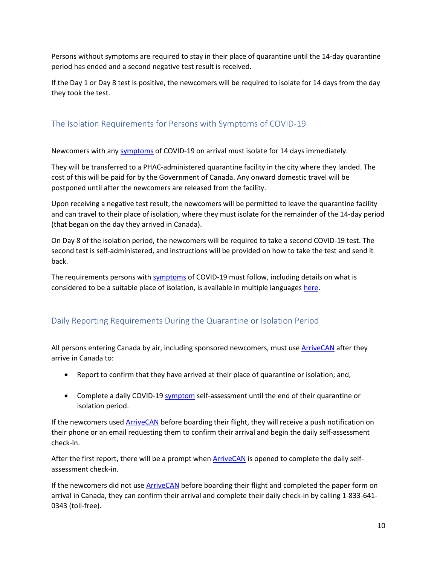Persons without symptoms are required to stay in their place of quarantine until the 14-day quarantine period has ended and a second negative test result is received.

If the Day 1 or Day 8 test is positive, the newcomers will be required to isolate for 14 days from the day they took the test.

## The Isolation Requirements for Persons with Symptoms of COVID-19

Newcomers with an[y symptoms](https://www.canada.ca/en/public-health/services/diseases/2019-novel-coronavirus-infection/symptoms.html#s) of COVID-19 on arrival must isolate for 14 days immediately.

They will be transferred to a PHAC-administered quarantine facility in the city where they landed. The cost of this will be paid for by the Government of Canada. Any onward domestic travel will be postponed until after the newcomers are released from the facility.

Upon receiving a negative test result, the newcomers will be permitted to leave the quarantine facility and can travel to their place of isolation, where they must isolate for the remainder of the 14-day period (that began on the day they arrived in Canada).

On Day 8 of the isolation period, the newcomers will be required to take a second COVID-19 test. The second test is self-administered, and instructions will be provided on how to take the test and send it back.

The requirements persons wit[h symptoms](https://www.canada.ca/en/public-health/services/diseases/2019-novel-coronavirus-infection/symptoms.html#s) of COVID-19 must follow, including details on what is considered to be a suitable place of isolation, is available in multiple language[s here.](https://www.canada.ca/en/public-health/services/publications/diseases-conditions/travellers-with-symptoms-return-canada.html)

## Daily Reporting Requirements During the Quarantine or Isolation Period

All persons entering Canada by air, including sponsored newcomers, must us[e ArriveCAN](https://www.canada.ca/en/public-health/services/diseases/coronavirus-disease-covid-19/arrivecan.html) after they arrive in Canada to:

- Report to confirm that they have arrived at their place of quarantine or isolation; and,
- Complete a daily COVID-19 [symptom](https://www.canada.ca/en/public-health/services/diseases/2019-novel-coronavirus-infection/symptoms.html#s) self-assessment until the end of their quarantine or isolation period.

If the newcomers used **ArriveCAN** before boarding their flight, they will receive a push notification on their phone or an email requesting them to confirm their arrival and begin the daily self-assessment check-in.

After the first report, there will be a prompt when [ArriveCAN](https://www.canada.ca/en/public-health/services/diseases/coronavirus-disease-covid-19/arrivecan.html) is opened to complete the daily selfassessment check-in.

If the newcomers did not use **ArriveCAN** before boarding their flight and completed the paper form on arrival in Canada, they can confirm their arrival and complete their daily check-in by calling 1-833-641- 0343 (toll-free).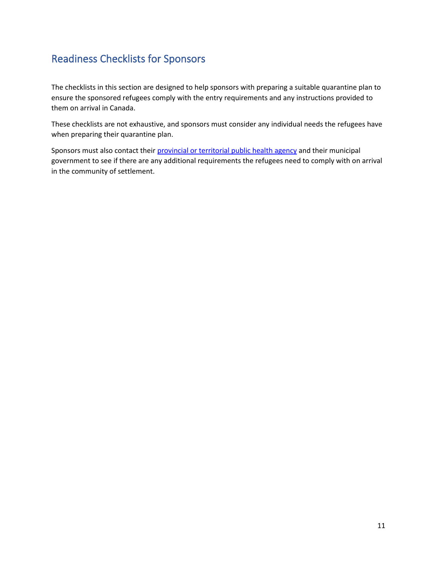# Readiness Checklists for Sponsors

The checklists in this section are designed to help sponsors with preparing a suitable quarantine plan to ensure the sponsored refugees comply with the entry requirements and any instructions provided to them on arrival in Canada.

These checklists are not exhaustive, and sponsors must consider any individual needs the refugees have when preparing their quarantine plan.

Sponsors must also contact their provincial or territorial [public health agency](https://www.canada.ca/en/public-health/services/diseases/2019-novel-coronavirus-infection/symptoms/provincial-territorial-resources-covid-19.html) and their municipal government to see if there are any additional requirements the refugees need to comply with on arrival in the community of settlement.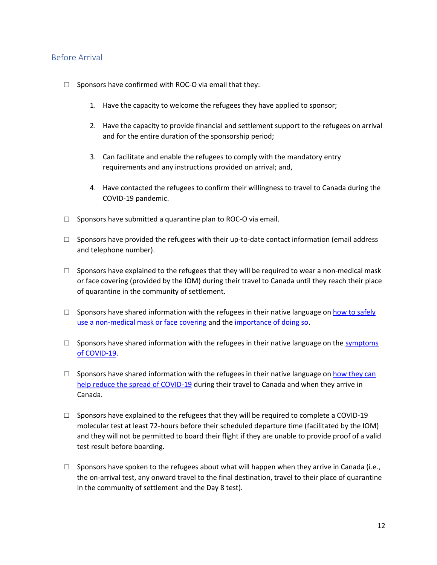#### Before Arrival

- $\Box$  Sponsors have confirmed with ROC-O via email that they:
	- 1. Have the capacity to welcome the refugees they have applied to sponsor;
	- 2. Have the capacity to provide financial and settlement support to the refugees on arrival and for the entire duration of the sponsorship period;
	- 3. Can facilitate and enable the refugees to comply with the mandatory entry requirements and any instructions provided on arrival; and,
	- 4. Have contacted the refugees to confirm their willingness to travel to Canada during the COVID-19 pandemic.
- $\square$  Sponsors have submitted a quarantine plan to ROC-O via email.
- $\square$  Sponsors have provided the refugees with their up-to-date contact information (email address and telephone number).
- $\square$  Sponsors have explained to the refugees that they will be required to wear a non-medical mask or face covering (provided by the IOM) during their travel to Canada until they reach their place of quarantine in the community of settlement.
- $\Box$  Sponsors have shared information with the refugees in their native language on how to safely [use a non-medical mask or face covering](https://www.canada.ca/en/public-health/services/publications/diseases-conditions/covid-19-safely-use-non-medical-mask-face-covering.html) and th[e importance of doing so.](https://www.canada.ca/en/public-health/services/video/covid-19-wear-non-medical-mask-face-covering-properly.html)
- $\square$  Sponsors have shared information with the refugees in their native language on the symptoms [of COVID-19.](https://www.canada.ca/en/public-health/services/publications/diseases-conditions/know-facts-about-coronavirus-disease-covid-19.html)
- $\square$  Sponsors have shared information with the refugees in their native language on how they can [help reduce the spread of COVID-19](https://www.canada.ca/en/public-health/services/publications/diseases-conditions/help-reduce-spread-covid-19.html) during their travel to Canada and when they arrive in Canada.
- $\square$  Sponsors have explained to the refugees that they will be required to complete a COVID-19 molecular test at least 72-hours before their scheduled departure time (facilitated by the IOM) and they will not be permitted to board their flight if they are unable to provide proof of a valid test result before boarding.
- $\square$  Sponsors have spoken to the refugees about what will happen when they arrive in Canada (i.e., the on-arrival test, any onward travel to the final destination, travel to their place of quarantine in the community of settlement and the Day 8 test).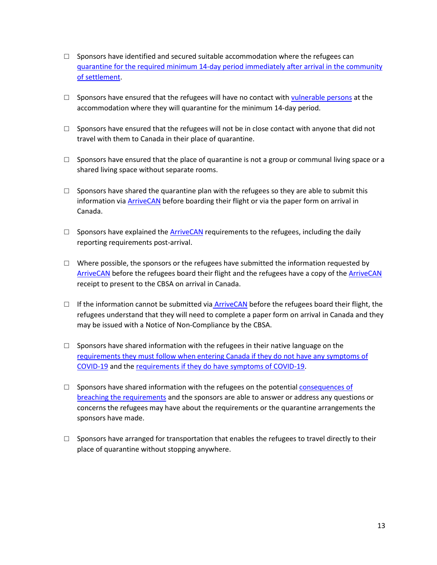- $\square$  Sponsors have identified and secured suitable accommodation where the refugees can quarantine for the required minimum [14-day period immediately after arrival in the](https://www.canada.ca/en/public-health/services/publications/diseases-conditions/2019-novel-coronavirus-information-sheet.html) community of settlement.
- $\square$  Sponsors have ensured that the refugees will have no contact with [vulnerable persons](https://www.canada.ca/en/public-health/services/publications/diseases-conditions/vulnerable-populations-covid-19.html) at the accommodation where they will quarantine for the minimum 14-day period.
- $\square$  Sponsors have ensured that the refugees will not be in close contact with anyone that did not travel with them to Canada in their place of quarantine.
- $\square$  Sponsors have ensured that the place of quarantine is not a group or communal living space or a shared living space without separate rooms.
- $\square$  Sponsors have shared the quarantine plan with the refugees so they are able to submit this information via [ArriveCAN](https://www.canada.ca/en/public-health/services/diseases/coronavirus-disease-covid-19/arrivecan.html) before boarding their flight or via the paper form on arrival in Canada.
- $\square$  Sponsors have explained the [ArriveCAN](https://www.canada.ca/en/public-health/services/diseases/coronavirus-disease-covid-19/arrivecan.html) requirements to the refugees, including the daily reporting requirements post-arrival.
- $\Box$  Where possible, the sponsors or the refugees have submitted the information requested by [ArriveCAN](https://www.canada.ca/en/public-health/services/diseases/coronavirus-disease-covid-19/arrivecan.html) before the refugees board their flight and the refugees have a copy of th[e ArriveCAN](https://www.canada.ca/en/public-health/services/diseases/coronavirus-disease-covid-19/arrivecan.html) receipt to present to the CBSA on arrival in Canada.
- $\Box$  If the information cannot be submitted via [ArriveCAN](https://www.canada.ca/en/public-health/services/diseases/coronavirus-disease-covid-19/arrivecan.html) before the refugees board their flight, the refugees understand that they will need to complete a paper form on arrival in Canada and they may be issued with a Notice of Non-Compliance by the CBSA.
- $\Box$  Sponsors hav[e](https://www.canada.ca/en/public-health/services/publications/diseases-conditions/2019-novel-coronavirus-information-sheet.html) shared information with the refugees in their native language on the requirements they must follow [when entering Canada if they do not have any symptoms of](https://www.canada.ca/en/public-health/services/publications/diseases-conditions/2019-novel-coronavirus-information-sheet.html)  [COVID-19](https://www.canada.ca/en/public-health/services/publications/diseases-conditions/2019-novel-coronavirus-information-sheet.html) and th[e requirements if they do have symptoms of COVID-19.](https://www.canada.ca/en/public-health/services/publications/diseases-conditions/travellers-with-symptoms-return-canada.html)
- $\square$  Sponsors have shared information with the refugees on the potential consequences of [breaching the requirements](https://www.canada.ca/en/public-health/services/diseases/2019-novel-coronavirus-infection/latest-travel-health-advice.html#a2) and the sponsors are able to answer or address any questions or concerns the refugees may have about the requirements or the quarantine arrangements the sponsors have made.
- $\square$  Sponsors have arranged for transportation that enables the refugees to travel directly to their place of quarantine without stopping anywhere.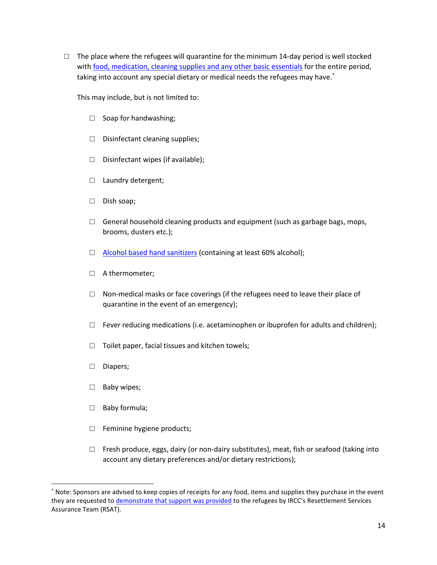$\Box$  The place where the refugees will quarantine for the minimum 14-day period is well stocked with [food, medication, cleaning supplies and any other basic essentials](https://www.canada.ca/en/public-health/services/publications/diseases-conditions/covid-19-be-prepared.html) for the entire period, taking into account any special dietary or medical needs the refugees may have. \*

This may include, but is not limited to:

- □ Soap for handwashing;
- □ Disinfectant cleaning supplies;
- $\Box$  Disinfectant wipes (if available);
- □ Laundry detergent;
- □ Dish soap;
- $\Box$  General household cleaning products and equipment (such as garbage bags, mops, brooms, dusters etc.);
- □ [Alcohol based hand sanitizers](https://www.canada.ca/en/health-canada/services/drugs-health-products/disinfectants/covid-19/hand-sanitizer.html) (containing at least 60% alcohol);
- □ A thermometer;
- $\Box$  Non-medical masks or face coverings (if the refugees need to leave their place of quarantine in the event of an emergency);
- $\Box$  Fever reducing medications (i.e. acetaminophen or ibuprofen for adults and children);
- $\Box$  Toilet paper, facial tissues and kitchen towels;
- □ Diapers;
- □ Baby wipes;
- □ Baby formula;
- $\Box$  Feminine hygiene products;
- $\Box$  Fresh produce, eggs, dairy (or non-dairy substitutes), meat, fish or seafood (taking into account any dietary preferences and/or dietary restrictions);

<sup>\*</sup> Note: Sponsors are advised to keep copies of receipts for any food, items and supplies they purchase in the event they are requested t[o demonstrate that support was provided](http://www.rstp.ca/wp-content/uploads/2020/06/Case-Review-Examples-of-Proof-of-Support-ENG-June-2020.pdf) to the refugees by IRCC's Resettlement Services Assurance Team (RSAT).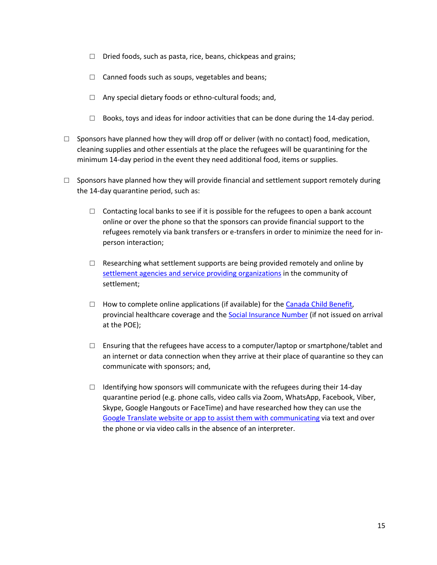- $\Box$  Dried foods, such as pasta, rice, beans, chickpeas and grains;
- $\Box$  Canned foods such as soups, vegetables and beans;
- $\Box$  Any special dietary foods or ethno-cultural foods; and,
- $\Box$  Books, toys and ideas for indoor activities that can be done during the 14-day period.
- $\Box$  Sponsors have planned how they will drop off or deliver (with no contact) food, medication, cleaning supplies and other essentials at the place the refugees will be quarantining for the minimum 14-day period in the event they need additional food, items or supplies.
- $\square$  Sponsors have planned how they will provide financial and settlement support remotely during the 14-day quarantine period, such as:
	- $\Box$  Contacting local banks to see if it is possible for the refugees to open a bank account online or over the phone so that the sponsors can provide financial support to the refugees remotely via bank transfers or e-transfers in order to minimize the need for inperson interaction;
	- $\Box$  Researching what settlement supports are being provided remotely and online by [settlement agencies and service providing organizations](https://www.cic.gc.ca/english/newcomers/services/index.asp) in the community of settlement;
	- $\Box$  How to complete online applications (if available) for th[e Canada Child Benefit,](https://www.canada.ca/en/revenue-agency/services/child-family-benefits/canada-child-benefit-overview/canada-child-benefit-apply.html#How) provincial healthcare coverage and the [Social Insurance Number](https://www.canada.ca/en/employment-social-development/services/sin/apply.html#online) (if not issued on arrival at the POE);
	- $\Box$  Ensuring that the refugees have access to a computer/laptop or smartphone/tablet and an internet or data connection when they arrive at their place of quarantine so they can communicate with sponsors; and,
	- $\Box$  Identifying how sponsors will communicate with the refugees during their 14-day quarantine period (e.g. phone calls, video calls via Zoom, WhatsApp, Facebook, Viber, Skype, Google Hangouts or FaceTime) and have researched how they can use the [Google Translate website or app to assist them with communicating](https://www.icavictoria.org/community/language-tools/) via text and over the phone or via video calls in the absence of an interpreter.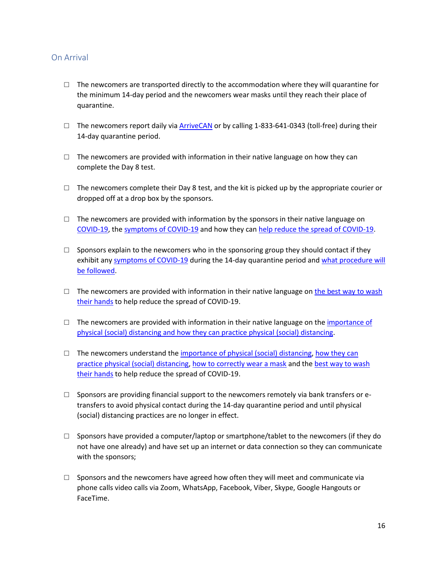#### On Arrival

- $\Box$  The newcomers are transported directly to the accommodation where they will quarantine for the minimum 14-day period and the newcomers wear masks until they reach their place of quarantine.
- $\Box$  The newcomers report daily via [ArriveCAN](https://www.canada.ca/en/public-health/services/diseases/coronavirus-disease-covid-19/arrivecan.html) or by calling 1-833-641-0343 (toll-free) during their 14-day quarantine period.
- $\Box$  The newcomers are provided with information in their native language on how they can complete the Day 8 test.
- $\Box$  The newcomers complete their Day 8 test, and the kit is picked up by the appropriate courier or dropped off at a drop box by the sponsors.
- $\Box$  The newcomers are provided with information by the sponsors in their native language on [COVID-19,](https://www.canada.ca/en/public-health/services/publications/diseases-conditions/about-coronavirus-disease-covid-19.html) the [symptoms of COVID-19](https://www.canada.ca/en/public-health/services/publications/diseases-conditions/know-facts-about-coronavirus-disease-covid-19.html) and how they ca[n help reduce the spread of COVID-19.](https://www.canada.ca/en/public-health/services/publications/diseases-conditions/help-reduce-spread-covid-19.html)
- $\square$  Sponsors explain to the newcomers who in the sponsoring group they should contact if they exhibit an[y symptoms of COVID-19](https://www.canada.ca/en/public-health/services/diseases/2019-novel-coronavirus-infection/symptoms.html#s) during the 14-day quarantine period an[d what procedure will](https://www.canada.ca/en/public-health/services/publications/diseases-conditions/2019-novel-coronavirus-information-sheet.html)  [be followed.](https://www.canada.ca/en/public-health/services/publications/diseases-conditions/2019-novel-coronavirus-information-sheet.html)
- $\Box$  The newcomers are provided with information in their native language on [the best way to](https://www.canada.ca/en/public-health/services/publications/diseases-conditions/reduce-spread-covid-19-wash-your-hands.html) wash [their hands](https://www.canada.ca/en/public-health/services/publications/diseases-conditions/reduce-spread-covid-19-wash-your-hands.html) to help reduce the spread of COVID-19.
- $\Box$  The newcomers are provided with information in their native language on the importance of [physical \(social\) distancing and how they can practice physical \(social\) distancing.](https://www.canada.ca/en/public-health/services/publications/diseases-conditions/social-distancing.html)
- $\Box$  The newcomers understand the importance of physical (social) distancing, how they can [practice physical \(social\) distancing,](https://www.canada.ca/en/public-health/services/publications/diseases-conditions/social-distancing.html) [how to correctly wear a mask](https://www.canada.ca/en/public-health/services/video/covid-19-wear-non-medical-mask-face-covering-properly.html) and th[e best way to wash](https://www.canada.ca/en/public-health/services/publications/diseases-conditions/reduce-spread-covid-19-wash-your-hands.html)  [their hands](https://www.canada.ca/en/public-health/services/publications/diseases-conditions/reduce-spread-covid-19-wash-your-hands.html) to help reduce the spread of COVID-19.
- $\square$  Sponsors are providing financial support to the newcomers remotely via bank transfers or etransfers to avoid physical contact during the 14-day quarantine period and until physical (social) distancing practices are no longer in effect.
- $\square$  Sponsors have provided a computer/laptop or smartphone/tablet to the newcomers (if they do not have one already) and have set up an internet or data connection so they can communicate with the sponsors;
- $\square$  Sponsors and the newcomers have agreed how often they will meet and communicate via phone calls video calls via Zoom, WhatsApp, Facebook, Viber, Skype, Google Hangouts or FaceTime.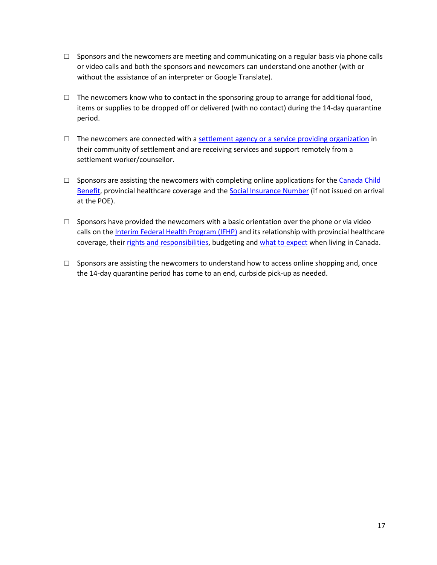- $\square$  Sponsors and the newcomers are meeting and communicating on a regular basis via phone calls or video calls and both the sponsors and newcomers can understand one another (with or without the assistance of an interpreter or Google Translate).
- $\Box$  The newcomers know who to contact in the sponsoring group to arrange for additional food, items or supplies to be dropped off or delivered (with no contact) during the 14-day quarantine period.
- $\Box$  The newcomers are connected with a <u>settlement agency or a service providing organization</u> in their community of settlement and are receiving services and support remotely from a settlement worker/counsellor.
- $\square$  Sponsors are assisting the newcomers with completing online applications for the Canada Child [Benefit,](https://www.canada.ca/en/revenue-agency/services/child-family-benefits/canada-child-benefit-overview/canada-child-benefit-apply.html#How) provincial healthcare coverage and the [Social Insurance Number](https://www.canada.ca/en/employment-social-development/services/sin/apply.html#online) (if not issued on arrival at the POE).
- $\square$  Sponsors have provided the newcomers with a basic orientation over the phone or via video calls on the [Interim Federal Health Program \(IFHP\)](http://www.rstp.ca/wp-content/uploads/2019/11/IFHP-Info-Sheet-2017_EN.pdf) and its relationship with provincial healthcare coverage, thei[r rights and responsibilities,](http://www.rstp.ca/en/your-rights-as-a-privately-sponsored-refugee/) budgeting and [what to expect](http://www.rstp.ca/en/refugees/what-to-expect/) when living in Canada.
- $\Box$  Sponsors are assisting the newcomers to understand how to access online shopping and, once the 14-day quarantine period has come to an end, curbside pick-up as needed.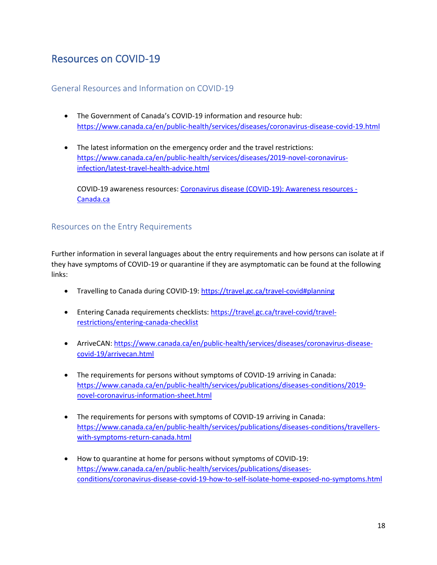## Resources on COVID-19

#### General Resources and Information on COVID-19

- The Government of Canada's COVID-19 information and resource hub: <https://www.canada.ca/en/public-health/services/diseases/coronavirus-disease-covid-19.html>
- The latest information on the emergency order and the travel restrictions: [https://www.canada.ca/en/public-health/services/diseases/2019-novel-coronavirus](https://www.canada.ca/en/public-health/services/diseases/2019-novel-coronavirus-infection/latest-travel-health-advice.html)[infection/latest-travel-health-advice.html](https://www.canada.ca/en/public-health/services/diseases/2019-novel-coronavirus-infection/latest-travel-health-advice.html)

COVID-19 awareness resources: [Coronavirus disease \(COVID-19\): Awareness resources -](https://www.canada.ca/en/public-health/services/diseases/2019-novel-coronavirus-infection/awareness-resources.html) [Canada.ca](https://www.canada.ca/en/public-health/services/diseases/2019-novel-coronavirus-infection/awareness-resources.html)

#### Resources on the Entry Requirements

Further information in several languages about the entry requirements and how persons can isolate at if they have symptoms of COVID-19 or quarantine if they are asymptomatic can be found at the following links:

- Travelling to Canada during COVID-19:<https://travel.gc.ca/travel-covid#planning>
- Entering Canada requirements checklists: [https://travel.gc.ca/travel-covid/travel](https://travel.gc.ca/travel-covid/travel-restrictions/entering-canada-checklist)[restrictions/entering-canada-checklist](https://travel.gc.ca/travel-covid/travel-restrictions/entering-canada-checklist)
- ArriveCAN: [https://www.canada.ca/en/public-health/services/diseases/coronavirus-disease](https://www.canada.ca/en/public-health/services/diseases/coronavirus-disease-covid-19/arrivecan.html)[covid-19/arrivecan.html](https://www.canada.ca/en/public-health/services/diseases/coronavirus-disease-covid-19/arrivecan.html)
- The requirements for persons without symptoms of COVID-19 arriving in Canada: [https://www.canada.ca/en/public-health/services/publications/diseases-conditions/2019](https://www.canada.ca/en/public-health/services/publications/diseases-conditions/2019-novel-coronavirus-information-sheet.html) [novel-coronavirus-information-sheet.html](https://www.canada.ca/en/public-health/services/publications/diseases-conditions/2019-novel-coronavirus-information-sheet.html)
- The requirements for persons with symptoms of COVID-19 arriving in Canada: [https://www.canada.ca/en/public-health/services/publications/diseases-conditions/travellers](https://www.canada.ca/en/public-health/services/publications/diseases-conditions/travellers-with-symptoms-return-canada.html)[with-symptoms-return-canada.html](https://www.canada.ca/en/public-health/services/publications/diseases-conditions/travellers-with-symptoms-return-canada.html)
- How to quarantine at home for persons without symptoms of COVID-19: [https://www.canada.ca/en/public-health/services/publications/diseases](https://www.canada.ca/en/public-health/services/publications/diseases-conditions/coronavirus-disease-covid-19-how-to-self-isolate-home-exposed-no-symptoms.html)[conditions/coronavirus-disease-covid-19-how-to-self-isolate-home-exposed-no-symptoms.html](https://www.canada.ca/en/public-health/services/publications/diseases-conditions/coronavirus-disease-covid-19-how-to-self-isolate-home-exposed-no-symptoms.html)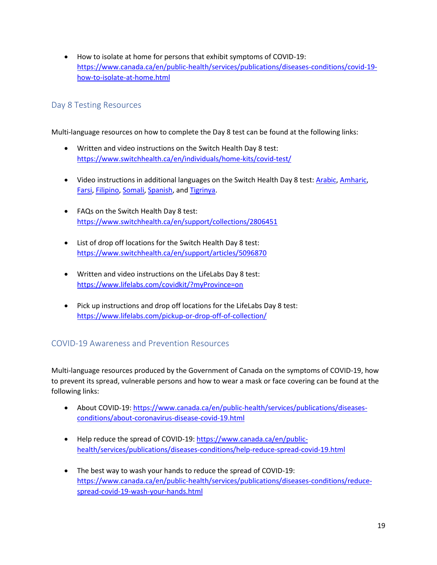• How to isolate at home for persons that exhibit symptoms of COVID-19: [https://www.canada.ca/en/public-health/services/publications/diseases-conditions/covid-19](https://www.canada.ca/en/public-health/services/publications/diseases-conditions/covid-19-how-to-isolate-at-home.html) [how-to-isolate-at-home.html](https://www.canada.ca/en/public-health/services/publications/diseases-conditions/covid-19-how-to-isolate-at-home.html)

### Day 8 Testing Resources

Multi-language resources on how to complete the Day 8 test can be found at the following links:

- Written and video instructions on the Switch Health Day 8 test: <https://www.switchhealth.ca/en/individuals/home-kits/covid-test/>
- Video instructions in additional languages on the Switch Health Day 8 test[: Arabic,](https://www.youtube.com/watch?v=gXJtBOHEeiQ) [Amharic,](https://www.youtube.com/watch?v=Ibv7b0mifKo) [Farsi,](https://www.youtube.com/watch?v=c2WJWXFSGQ8) [Filipino,](https://www.youtube.com/watch?v=3RzzBDnCSeI) [Somali,](https://www.youtube.com/watch?v=itWEqbpAXhQ) [Spanish,](https://www.youtube.com/watch?v=MloA9e-CKos) and [Tigrinya.](https://www.youtube.com/watch?v=eJfKPwX155g)
- FAQs on the Switch Health Day 8 test: <https://www.switchhealth.ca/en/support/collections/2806451>
- List of drop off locations for the Switch Health Day 8 test: <https://www.switchhealth.ca/en/support/articles/5096870>
- Written and video instructions on the LifeLabs Day 8 test: <https://www.lifelabs.com/covidkit/?myProvince=on>
- Pick up instructions and drop off locations for the LifeLabs Day 8 test: <https://www.lifelabs.com/pickup-or-drop-off-of-collection/>

#### COVID-19 Awareness and Prevention Resources

Multi-language resources produced by the Government of Canada on the symptoms of COVID-19, how to prevent its spread, vulnerable persons and how to wear a mask or face covering can be found at the following links:

- About COVID-19: [https://www.canada.ca/en/public-health/services/publications/diseases](https://www.canada.ca/en/public-health/services/publications/diseases-conditions/about-coronavirus-disease-covid-19.html)[conditions/about-coronavirus-disease-covid-19.html](https://www.canada.ca/en/public-health/services/publications/diseases-conditions/about-coronavirus-disease-covid-19.html)
- Help reduce the spread of COVID-19[: https://www.canada.ca/en/public](https://www.canada.ca/en/public-health/services/publications/diseases-conditions/help-reduce-spread-covid-19.html)[health/services/publications/diseases-conditions/help-reduce-spread-covid-19.html](https://www.canada.ca/en/public-health/services/publications/diseases-conditions/help-reduce-spread-covid-19.html)
- The best way to wash your hands to reduce the spread of COVID-19: [https://www.canada.ca/en/public-health/services/publications/diseases-conditions/reduce](https://www.canada.ca/en/public-health/services/publications/diseases-conditions/reduce-spread-covid-19-wash-your-hands.html)[spread-covid-19-wash-your-hands.html](https://www.canada.ca/en/public-health/services/publications/diseases-conditions/reduce-spread-covid-19-wash-your-hands.html)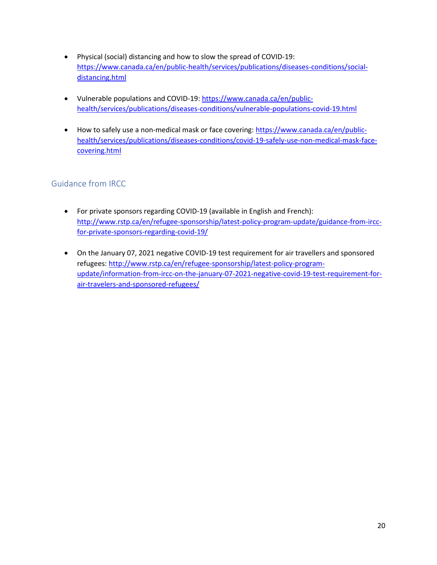- Physical (social) distancing and how to slow the spread of COVID-19: [https://www.canada.ca/en/public-health/services/publications/diseases-conditions/social](https://www.canada.ca/en/public-health/services/publications/diseases-conditions/social-distancing.html)[distancing.html](https://www.canada.ca/en/public-health/services/publications/diseases-conditions/social-distancing.html)
- Vulnerable populations and COVID-19: [https://www.canada.ca/en/public](https://www.canada.ca/en/public-health/services/publications/diseases-conditions/vulnerable-populations-covid-19.html)[health/services/publications/diseases-conditions/vulnerable-populations-covid-19.html](https://www.canada.ca/en/public-health/services/publications/diseases-conditions/vulnerable-populations-covid-19.html)
- How to safely use a non-medical mask or face covering: [https://www.canada.ca/en/public](https://www.canada.ca/en/public-health/services/publications/diseases-conditions/covid-19-safely-use-non-medical-mask-face-covering.html)[health/services/publications/diseases-conditions/covid-19-safely-use-non-medical-mask-face](https://www.canada.ca/en/public-health/services/publications/diseases-conditions/covid-19-safely-use-non-medical-mask-face-covering.html)[covering.html](https://www.canada.ca/en/public-health/services/publications/diseases-conditions/covid-19-safely-use-non-medical-mask-face-covering.html)

## Guidance from IRCC

- For private sponsors regarding COVID-19 (available in English and French): [http://www.rstp.ca/en/refugee-sponsorship/latest-policy-program-update/guidance-from-ircc](http://www.rstp.ca/en/refugee-sponsorship/latest-policy-program-update/guidance-from-ircc-for-private-sponsors-regarding-covid-19/)[for-private-sponsors-regarding-covid-19/](http://www.rstp.ca/en/refugee-sponsorship/latest-policy-program-update/guidance-from-ircc-for-private-sponsors-regarding-covid-19/)
- On the January 07, 2021 negative COVID-19 test requirement for air travellers and sponsored refugees: [http://www.rstp.ca/en/refugee-sponsorship/latest-policy-program](http://www.rstp.ca/en/refugee-sponsorship/latest-policy-program-update/information-from-ircc-on-the-january-07-2021-negative-covid-19-test-requirement-for-air-travelers-and-sponsored-refugees/)[update/information-from-ircc-on-the-january-07-2021-negative-covid-19-test-requirement-for](http://www.rstp.ca/en/refugee-sponsorship/latest-policy-program-update/information-from-ircc-on-the-january-07-2021-negative-covid-19-test-requirement-for-air-travelers-and-sponsored-refugees/)[air-travelers-and-sponsored-refugees/](http://www.rstp.ca/en/refugee-sponsorship/latest-policy-program-update/information-from-ircc-on-the-january-07-2021-negative-covid-19-test-requirement-for-air-travelers-and-sponsored-refugees/)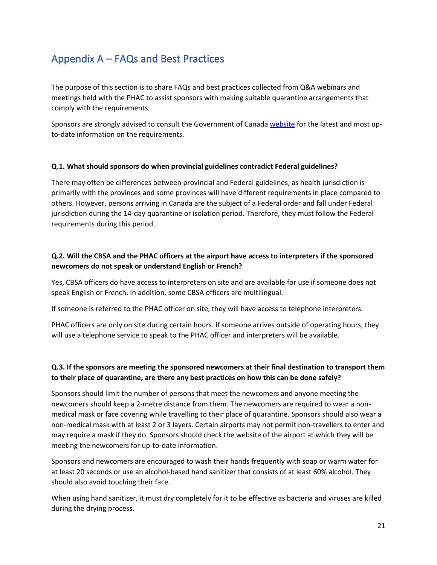# Appendix A – FAQs and Best Practices

The purpose of this section is to share FAQs and best practices collected from Q&A webinars and meetings held with the PHAC to assist sponsors with making suitable quarantine arrangements that comply with the requirements.

Sponsors are strongly advised to consult the Government of Canada [website](https://www.canada.ca/en/public-health/services/diseases/2019-novel-coronavirus-infection/latest-travel-health-advice.html) for the latest and most upto-date information on the requirements.

#### **Q.1. What should sponsors do when provincial guidelines contradict Federal guidelines?**

There may often be differences between provincial and Federal guidelines, as health jurisdiction is primarily with the provinces and some provinces will have different requirements in place compared to others. However, persons arriving in Canada are the subject of a Federal order and fall under Federal jurisdiction during the 14-day quarantine or isolation period. Therefore, they must follow the Federal requirements during this period.

#### **Q.2. Will the CBSA and the PHAC officers at the airport have access to interpreters if the sponsored newcomers do not speak or understand English or French?**

Yes, CBSA officers do have access to interpreters on site and are available for use if someone does not speak English or French. In addition, some CBSA officers are multilingual.

If someone is referred to the PHAC officer on site, they will have access to telephone interpreters.

PHAC officers are only on site during certain hours. If someone arrives outside of operating hours, they will use a telephone service to speak to the PHAC officer and interpreters will be available.

#### **Q.3. If the sponsors are meeting the sponsored newcomers at their final destination to transport them to their place of quarantine, are there any best practices on how this can be done safely?**

Sponsors should limit the number of persons that meet the newcomers and anyone meeting the newcomers should keep a 2-metre distance from them. The newcomers are required to wear a nonmedical mask or face covering while travelling to their place of quarantine. Sponsors should also wear a non-medical mask with at least 2 or 3 layers. Certain airports may not permit non-travellers to enter and may require a mask if they do. Sponsors should check the website of the airport at which they will be meeting the newcomers for up-to-date information.

Sponsors and newcomers are encouraged to wash their hands frequently with soap or warm water for at least 20 seconds or use an alcohol-based hand sanitizer that consists of at least 60% alcohol. They should also avoid touching their face.

When using hand sanitizer, it must dry completely for it to be effective as bacteria and viruses are killed during the drying process.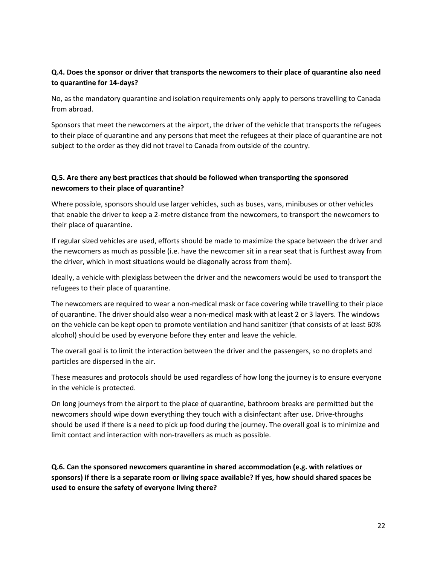#### **Q.4. Does the sponsor or driver that transports the newcomers to their place of quarantine also need to quarantine for 14-days?**

No, as the mandatory quarantine and isolation requirements only apply to persons travelling to Canada from abroad.

Sponsors that meet the newcomers at the airport, the driver of the vehicle that transports the refugees to their place of quarantine and any persons that meet the refugees at their place of quarantine are not subject to the order as they did not travel to Canada from outside of the country.

#### **Q.5. Are there any best practices that should be followed when transporting the sponsored newcomers to their place of quarantine?**

Where possible, sponsors should use larger vehicles, such as buses, vans, minibuses or other vehicles that enable the driver to keep a 2-metre distance from the newcomers, to transport the newcomers to their place of quarantine.

If regular sized vehicles are used, efforts should be made to maximize the space between the driver and the newcomers as much as possible (i.e. have the newcomer sit in a rear seat that is furthest away from the driver, which in most situations would be diagonally across from them).

Ideally, a vehicle with plexiglass between the driver and the newcomers would be used to transport the refugees to their place of quarantine.

The newcomers are required to wear a non-medical mask or face covering while travelling to their place of quarantine. The driver should also wear a non-medical mask with at least 2 or 3 layers. The windows on the vehicle can be kept open to promote ventilation and hand sanitizer (that consists of at least 60% alcohol) should be used by everyone before they enter and leave the vehicle.

The overall goal is to limit the interaction between the driver and the passengers, so no droplets and particles are dispersed in the air.

These measures and protocols should be used regardless of how long the journey is to ensure everyone in the vehicle is protected.

On long journeys from the airport to the place of quarantine, bathroom breaks are permitted but the newcomers should wipe down everything they touch with a disinfectant after use. Drive-throughs should be used if there is a need to pick up food during the journey. The overall goal is to minimize and limit contact and interaction with non-travellers as much as possible.

**Q.6. Can the sponsored newcomers quarantine in shared accommodation (e.g. with relatives or sponsors) if there is a separate room or living space available? If yes, how should shared spaces be used to ensure the safety of everyone living there?**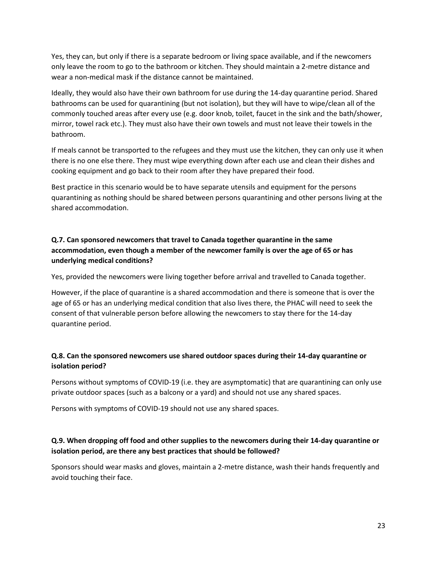Yes, they can, but only if there is a separate bedroom or living space available, and if the newcomers only leave the room to go to the bathroom or kitchen. They should maintain a 2-metre distance and wear a non-medical mask if the distance cannot be maintained.

Ideally, they would also have their own bathroom for use during the 14-day quarantine period. Shared bathrooms can be used for quarantining (but not isolation), but they will have to wipe/clean all of the commonly touched areas after every use (e.g. door knob, toilet, faucet in the sink and the bath/shower, mirror, towel rack etc.). They must also have their own towels and must not leave their towels in the bathroom.

If meals cannot be transported to the refugees and they must use the kitchen, they can only use it when there is no one else there. They must wipe everything down after each use and clean their dishes and cooking equipment and go back to their room after they have prepared their food.

Best practice in this scenario would be to have separate utensils and equipment for the persons quarantining as nothing should be shared between persons quarantining and other persons living at the shared accommodation.

#### **Q.7. Can sponsored newcomers that travel to Canada together quarantine in the same accommodation, even though a member of the newcomer family is over the age of 65 or has underlying medical conditions?**

Yes, provided the newcomers were living together before arrival and travelled to Canada together.

However, if the place of quarantine is a shared accommodation and there is someone that is over the age of 65 or has an underlying medical condition that also lives there, the PHAC will need to seek the consent of that vulnerable person before allowing the newcomers to stay there for the 14-day quarantine period.

#### **Q.8. Can the sponsored newcomers use shared outdoor spaces during their 14-day quarantine or isolation period?**

Persons without symptoms of COVID-19 (i.e. they are asymptomatic) that are quarantining can only use private outdoor spaces (such as a balcony or a yard) and should not use any shared spaces.

Persons with symptoms of COVID-19 should not use any shared spaces.

#### **Q.9. When dropping off food and other supplies to the newcomers during their 14-day quarantine or isolation period, are there any best practices that should be followed?**

Sponsors should wear masks and gloves, maintain a 2-metre distance, wash their hands frequently and avoid touching their face.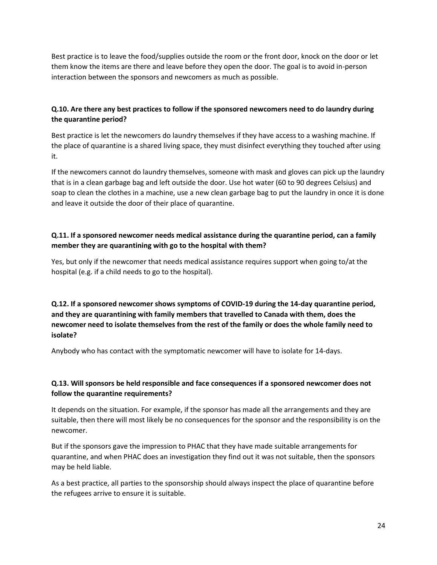Best practice is to leave the food/supplies outside the room or the front door, knock on the door or let them know the items are there and leave before they open the door. The goal is to avoid in-person interaction between the sponsors and newcomers as much as possible.

#### **Q.10. Are there any best practices to follow if the sponsored newcomers need to do laundry during the quarantine period?**

Best practice is let the newcomers do laundry themselves if they have access to a washing machine. If the place of quarantine is a shared living space, they must disinfect everything they touched after using it.

If the newcomers cannot do laundry themselves, someone with mask and gloves can pick up the laundry that is in a clean garbage bag and left outside the door. Use hot water (60 to 90 degrees Celsius) and soap to clean the clothes in a machine, use a new clean garbage bag to put the laundry in once it is done and leave it outside the door of their place of quarantine.

#### **Q.11. If a sponsored newcomer needs medical assistance during the quarantine period, can a family member they are quarantining with go to the hospital with them?**

Yes, but only if the newcomer that needs medical assistance requires support when going to/at the hospital (e.g. if a child needs to go to the hospital).

**Q.12. If a sponsored newcomer shows symptoms of COVID-19 during the 14-day quarantine period, and they are quarantining with family members that travelled to Canada with them, does the newcomer need to isolate themselves from the rest of the family or does the whole family need to isolate?**

Anybody who has contact with the symptomatic newcomer will have to isolate for 14-days.

#### **Q.13. Will sponsors be held responsible and face consequences if a sponsored newcomer does not follow the quarantine requirements?**

It depends on the situation. For example, if the sponsor has made all the arrangements and they are suitable, then there will most likely be no consequences for the sponsor and the responsibility is on the newcomer.

But if the sponsors gave the impression to PHAC that they have made suitable arrangements for quarantine, and when PHAC does an investigation they find out it was not suitable, then the sponsors may be held liable.

As a best practice, all parties to the sponsorship should always inspect the place of quarantine before the refugees arrive to ensure it is suitable.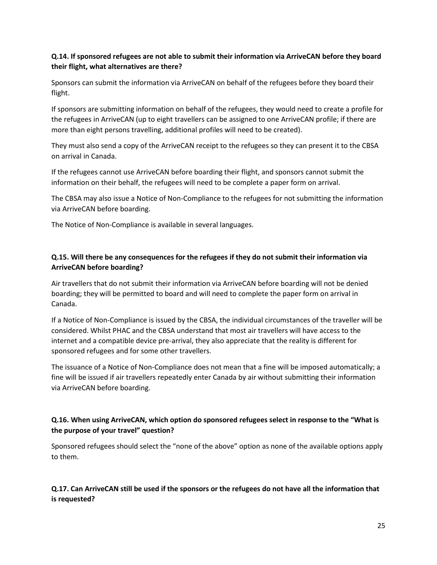#### **Q.14. If sponsored refugees are not able to submit their information via ArriveCAN before they board their flight, what alternatives are there?**

Sponsors can submit the information via ArriveCAN on behalf of the refugees before they board their flight.

If sponsors are submitting information on behalf of the refugees, they would need to create a profile for the refugees in ArriveCAN (up to eight travellers can be assigned to one ArriveCAN profile; if there are more than eight persons travelling, additional profiles will need to be created).

They must also send a copy of the ArriveCAN receipt to the refugees so they can present it to the CBSA on arrival in Canada.

If the refugees cannot use ArriveCAN before boarding their flight, and sponsors cannot submit the information on their behalf, the refugees will need to be complete a paper form on arrival.

The CBSA may also issue a Notice of Non-Compliance to the refugees for not submitting the information via ArriveCAN before boarding.

The Notice of Non-Compliance is available in several languages.

#### **Q.15. Will there be any consequences for the refugees if they do not submit their information via ArriveCAN before boarding?**

Air travellers that do not submit their information via ArriveCAN before boarding will not be denied boarding; they will be permitted to board and will need to complete the paper form on arrival in Canada.

If a Notice of Non-Compliance is issued by the CBSA, the individual circumstances of the traveller will be considered. Whilst PHAC and the CBSA understand that most air travellers will have access to the internet and a compatible device pre-arrival, they also appreciate that the reality is different for sponsored refugees and for some other travellers.

The issuance of a Notice of Non-Compliance does not mean that a fine will be imposed automatically; a fine will be issued if air travellers repeatedly enter Canada by air without submitting their information via ArriveCAN before boarding.

#### **Q.16. When using ArriveCAN, which option do sponsored refugees select in response to the "What is the purpose of your travel" question?**

Sponsored refugees should select the "none of the above" option as none of the available options apply to them.

#### **Q.17. Can ArriveCAN still be used if the sponsors or the refugees do not have all the information that is requested?**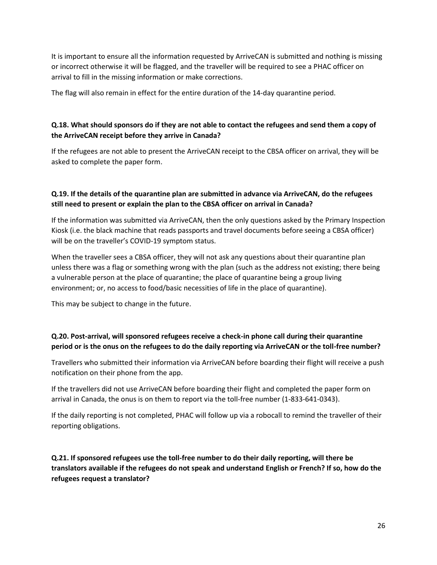It is important to ensure all the information requested by ArriveCAN is submitted and nothing is missing or incorrect otherwise it will be flagged, and the traveller will be required to see a PHAC officer on arrival to fill in the missing information or make corrections.

The flag will also remain in effect for the entire duration of the 14-day quarantine period.

#### **Q.18. What should sponsors do if they are not able to contact the refugees and send them a copy of the ArriveCAN receipt before they arrive in Canada?**

If the refugees are not able to present the ArriveCAN receipt to the CBSA officer on arrival, they will be asked to complete the paper form.

#### **Q.19. If the details of the quarantine plan are submitted in advance via ArriveCAN, do the refugees still need to present or explain the plan to the CBSA officer on arrival in Canada?**

If the information was submitted via ArriveCAN, then the only questions asked by the Primary Inspection Kiosk (i.e. the black machine that reads passports and travel documents before seeing a CBSA officer) will be on the traveller's COVID-19 symptom status.

When the traveller sees a CBSA officer, they will not ask any questions about their quarantine plan unless there was a flag or something wrong with the plan (such as the address not existing; there being a vulnerable person at the place of quarantine; the place of quarantine being a group living environment; or, no access to food/basic necessities of life in the place of quarantine).

This may be subject to change in the future.

#### **Q.20. Post-arrival, will sponsored refugees receive a check-in phone call during their quarantine period or is the onus on the refugees to do the daily reporting via ArriveCAN or the toll-free number?**

Travellers who submitted their information via ArriveCAN before boarding their flight will receive a push notification on their phone from the app.

If the travellers did not use ArriveCAN before boarding their flight and completed the paper form on arrival in Canada, the onus is on them to report via the toll-free number (1-833-641-0343).

If the daily reporting is not completed, PHAC will follow up via a robocall to remind the traveller of their reporting obligations.

**Q.21. If sponsored refugees use the toll-free number to do their daily reporting, will there be translators available if the refugees do not speak and understand English or French? If so, how do the refugees request a translator?**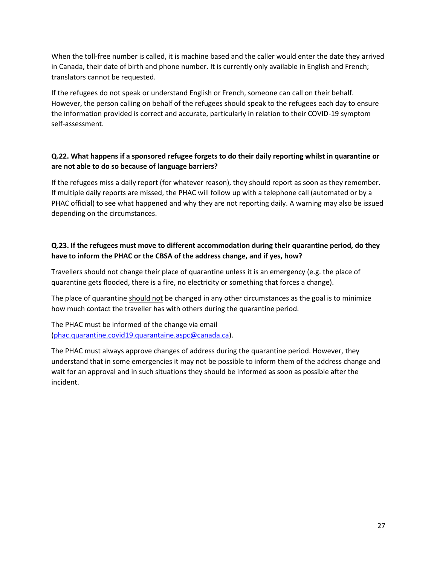When the toll-free number is called, it is machine based and the caller would enter the date they arrived in Canada, their date of birth and phone number. It is currently only available in English and French; translators cannot be requested.

If the refugees do not speak or understand English or French, someone can call on their behalf. However, the person calling on behalf of the refugees should speak to the refugees each day to ensure the information provided is correct and accurate, particularly in relation to their COVID-19 symptom self-assessment.

#### **Q.22. What happens if a sponsored refugee forgets to do their daily reporting whilst in quarantine or are not able to do so because of language barriers?**

If the refugees miss a daily report (for whatever reason), they should report as soon as they remember. If multiple daily reports are missed, the PHAC will follow up with a telephone call (automated or by a PHAC official) to see what happened and why they are not reporting daily. A warning may also be issued depending on the circumstances.

#### **Q.23. If the refugees must move to different accommodation during their quarantine period, do they have to inform the PHAC or the CBSA of the address change, and if yes, how?**

Travellers should not change their place of quarantine unless it is an emergency (e.g. the place of quarantine gets flooded, there is a fire, no electricity or something that forces a change).

The place of quarantine should not be changed in any other circumstances as the goal is to minimize how much contact the traveller has with others during the quarantine period.

The PHAC must be informed of the change via email [\(phac.quarantine.covid19.quarantaine.aspc@canada.ca\)](mailto:phac.quarantine.covid19.quarantaine.aspc@canada.ca).

The PHAC must always approve changes of address during the quarantine period. However, they understand that in some emergencies it may not be possible to inform them of the address change and wait for an approval and in such situations they should be informed as soon as possible after the incident.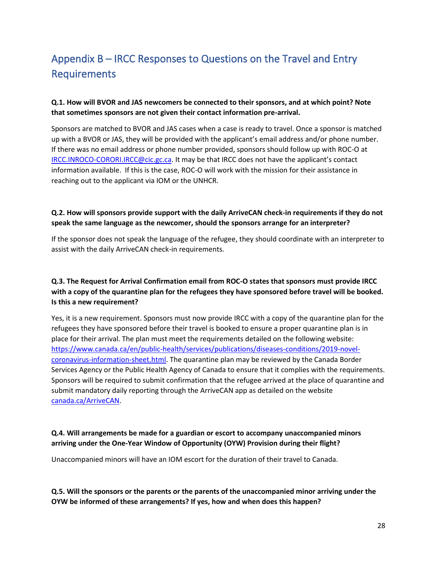# Appendix B – IRCC Responses to Questions on the Travel and Entry Requirements

#### **Q.1. How will BVOR and JAS newcomers be connected to their sponsors, and at which point? Note that sometimes sponsors are not given their contact information pre-arrival.**

Sponsors are matched to BVOR and JAS cases when a case is ready to travel. Once a sponsor is matched up with a BVOR or JAS, they will be provided with the applicant's email address and/or phone number. If there was no email address or phone number provided, sponsors should follow up with ROC-O at [IRCC.INROCO-CORORI.IRCC@cic.gc.ca](file:///C:/Users/JoAnna.Brunnenmeir/AppData/Roaming/OpenText/OTEdit/EC_gcdocs2/c391946473/IRCC.INROCO-CORORI.IRCC@cic.gc.ca). It may be that IRCC does not have the applicant's contact information available. If this is the case, ROC-O will work with the mission for their assistance in reaching out to the applicant via IOM or the UNHCR.

#### **Q.2. How will sponsors provide support with the daily ArriveCAN check-in requirements if they do not speak the same language as the newcomer, should the sponsors arrange for an interpreter?**

If the sponsor does not speak the language of the refugee, they should coordinate with an interpreter to assist with the daily ArriveCAN check-in requirements.

#### **Q.3. The Request for Arrival Confirmation email from ROC-O states that sponsors must provide IRCC with a copy of the quarantine plan for the refugees they have sponsored before travel will be booked. Is this a new requirement?**

Yes, it is a new requirement. Sponsors must now provide IRCC with a copy of the quarantine plan for the refugees they have sponsored before their travel is booked to ensure a proper quarantine plan is in place for their arrival. The plan must meet the requirements detailed on the following website: [https://www.canada.ca/en/public-health/services/publications/diseases-conditions/2019-novel](https://www.canada.ca/en/public-health/services/publications/diseases-conditions/2019-novel-coronavirus-information-sheet.html)[coronavirus-information-sheet.html.](https://www.canada.ca/en/public-health/services/publications/diseases-conditions/2019-novel-coronavirus-information-sheet.html) The quarantine plan may be reviewed by the Canada Border Services Agency or the Public Health Agency of Canada to ensure that it complies with the requirements. Sponsors will be required to submit confirmation that the refugee arrived at the place of quarantine and submit mandatory daily reporting through the ArriveCAN app as detailed on the website [canada.ca/ArriveCAN.](https://www.canada.ca/en/public-health/services/diseases/coronavirus-disease-covid-19/arrivecan.html#a2)

#### **Q.4. Will arrangements be made for a guardian or escort to accompany unaccompanied minors arriving under the One-Year Window of Opportunity (OYW) Provision during their flight?**

Unaccompanied minors will have an IOM escort for the duration of their travel to Canada.

#### **Q.5. Will the sponsors or the parents or the parents of the unaccompanied minor arriving under the OYW be informed of these arrangements? If yes, how and when does this happen?**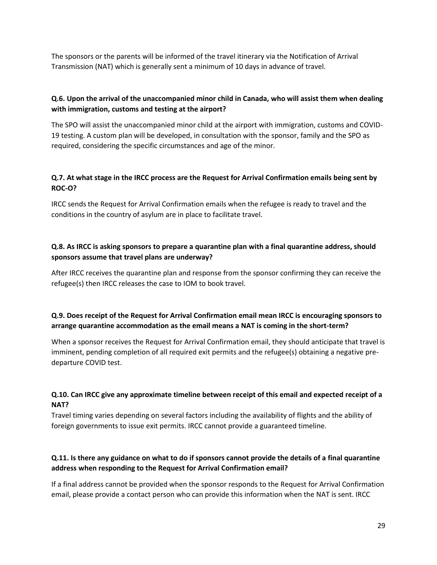The sponsors or the parents will be informed of the travel itinerary via the Notification of Arrival Transmission (NAT) which is generally sent a minimum of 10 days in advance of travel.

#### **Q.6. Upon the arrival of the unaccompanied minor child in Canada, who will assist them when dealing with immigration, customs and testing at the airport?**

The SPO will assist the unaccompanied minor child at the airport with immigration, customs and COVID-19 testing. A custom plan will be developed, in consultation with the sponsor, family and the SPO as required, considering the specific circumstances and age of the minor.

#### **Q.7. At what stage in the IRCC process are the Request for Arrival Confirmation emails being sent by ROC-O?**

IRCC sends the Request for Arrival Confirmation emails when the refugee is ready to travel and the conditions in the country of asylum are in place to facilitate travel.

#### **Q.8. As IRCC is asking sponsors to prepare a quarantine plan with a final quarantine address, should sponsors assume that travel plans are underway?**

After IRCC receives the quarantine plan and response from the sponsor confirming they can receive the refugee(s) then IRCC releases the case to IOM to book travel.

#### **Q.9. Does receipt of the Request for Arrival Confirmation email mean IRCC is encouraging sponsors to arrange quarantine accommodation as the email means a NAT is coming in the short-term?**

When a sponsor receives the Request for Arrival Confirmation email, they should anticipate that travel is imminent, pending completion of all required exit permits and the refugee(s) obtaining a negative predeparture COVID test.

#### **Q.10. Can IRCC give any approximate timeline between receipt of this email and expected receipt of a NAT?**

Travel timing varies depending on several factors including the availability of flights and the ability of foreign governments to issue exit permits. IRCC cannot provide a guaranteed timeline.

#### **Q.11. Is there any guidance on what to do if sponsors cannot provide the details of a final quarantine address when responding to the Request for Arrival Confirmation email?**

If a final address cannot be provided when the sponsor responds to the Request for Arrival Confirmation email, please provide a contact person who can provide this information when the NAT is sent. IRCC